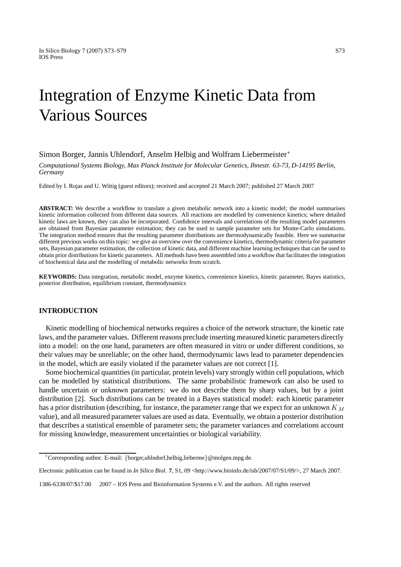# Integration of Enzyme Kinetic Data from Various Sources

# Simon Borger, Jannis Uhlendorf, Anselm Helbig and Wolfram Liebermeister<sup>∗</sup>

*Computational Systems Biology, Max Planck Institute for Molecular Genetics, Ihnestr. 63-73, D-14195 Berlin, Germany*

Edited by I. Rojas and U. Wittig (guest editors); received and accepted 21 March 2007; published 27 March 2007

**ABSTRACT:** We describe a workflow to translate a given metabolic network into a kinetic model; the model summarises kinetic information collected from different data sources. All reactions are modelled by convenience kinetics; where detailed kinetic laws are known, they can also be incorporated. Confidence intervals and correlations of the resulting model parameters are obtained from Bayesian parameter estimation; they can be used to sample parameter sets for Monte-Carlo simulations. The integration method ensures that the resulting parameter distributions are thermodynamically feasible. Here we summarise different previous works on this topic: we give an overview over the convenience kinetics, thermodynamic criteria for parameter sets, Bayesian parameter estimation, the collection of kinetic data, and different machine learning techniques that can be used to obtain prior distributions for kinetic parameters. All methods have been assembled into a workflow that facilitates the integration of biochemical data and the modelling of metabolic networks from scratch.

**KEYWORDS:** Data integration, metabolic model, enzyme kinetics, convenience kinetics, kinetic parameter, Bayes statistics, posterior distribution, equilibrium constant, thermodynamics

## **INTRODUCTION**

Kinetic modelling of biochemical networks requires a choice of the network structure, the kinetic rate laws, and the parameter values. Different reasons preclude inserting measured kinetic parameters directly into a model: on the one hand, parameters are often measured in vitro or under different conditions, so their values may be unreliable; on the other hand, thermodynamic laws lead to parameter dependencies in the model, which are easily violated if the parameter values are not correct [1].

Some biochemical quantities (in particular, protein levels) vary strongly within cell populations, which can be modelled by statistical distributions. The same probabilistic framework can also be used to handle uncertain or unknown parameters: we do not describe them by sharp values, but by a joint distribution [2]. Such distributions can be treated in a Bayes statistical model: each kinetic parameter has a prior distribution (describing, for instance, the parameter range that we expect for an unknown  $K_M$ value), and all measured parameter values are used as data. Eventually, we obtain a posterior distribution that describes a statistical ensemble of parameter sets; the parameter variances and correlations account for missing knowledge, measurement uncertainties or biological variability.

<sup>∗</sup>Corresponding author. E-mail: *{*borger,uhlndorf,helbig,lieberme*}*@molgen.mpg.de.

Electronic publication can be found in *In Silico Biol.* **7**, S1, 09 <http://www.bioinfo.de/isb/2007/07/S1/09/>, 27 March 2007.

<sup>1386-6338/07/\$17.00</sup>  $\odot$  2007 – IOS Press and Bioinformation Systems e.V. and the authors. All rights reserved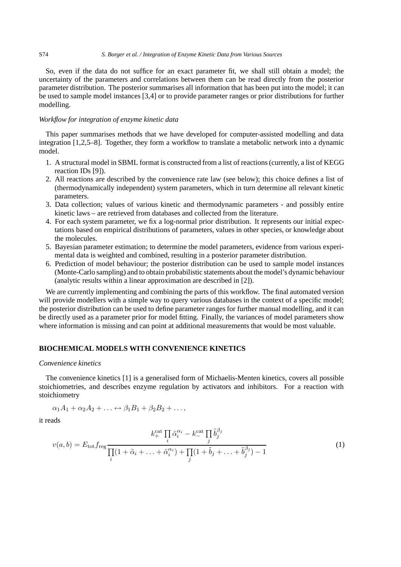#### S74 *S. Borger et al. / Integration of Enzyme Kinetic Data from Various Sources*

So, even if the data do not suffice for an exact parameter fit, we shall still obtain a model; the uncertainty of the parameters and correlations between them can be read directly from the posterior parameter distribution. The posterior summarises all information that has been put into the model; it can be used to sample model instances [3,4] or to provide parameter ranges or prior distributions for further modelling.

## *Workflow for integration of enzyme kinetic data*

This paper summarises methods that we have developed for computer-assisted modelling and data integration [1,2,5–8]. Together, they form a workflow to translate a metabolic network into a dynamic model.

- 1. A structural model in SBML format is constructed from a list of reactions (currently, a list of KEGG reaction IDs [9]).
- 2. All reactions are described by the convenience rate law (see below); this choice defines a list of (thermodynamically independent) system parameters, which in turn determine all relevant kinetic parameters.
- 3. Data collection; values of various kinetic and thermodynamic parameters and possibly entire kinetic laws – are retrieved from databases and collected from the literature.
- 4. For each system parameter, we fix a log-normal prior distribution. It represents our initial expectations based on empirical distributions of parameters, values in other species, or knowledge about the molecules.
- 5. Bayesian parameter estimation; to determine the model parameters, evidence from various experimental data is weighted and combined, resulting in a posterior parameter distribution.
- 6. Prediction of model behaviour; the posterior distribution can be used to sample model instances (Monte-Carlo sampling) and to obtain probabilistic statements about the model's dynamic behaviour (analytic results within a linear approximation are described in [2]).

We are currently implementing and combining the parts of this workflow. The final automated version will provide modellers with a simple way to query various databases in the context of a specific model; the posterior distribution can be used to define parameter ranges for further manual modelling, and it can be directly used as a parameter prior for model fitting. Finally, the variances of model parameters show where information is missing and can point at additional measurements that would be most valuable.

# **BIOCHEMICAL MODELS WITH CONVENIENCE KINETICS**

### *Convenience kinetics*

The convenience kinetics [1] is a generalised form of Michaelis-Menten kinetics, covers all possible stoichiometries, and describes enzyme regulation by activators and inhibitors. For a reaction with stoichiometry

$$
\alpha_1 A_1 + \alpha_2 A_2 + \ldots \leftrightarrow \beta_1 B_1 + \beta_2 B_2 + \ldots,
$$

it reads

$$
v(a,b) = E_{\text{tot}} f_{\text{reg}} \frac{k_+^{\text{cat}} \prod_i \tilde{\alpha}_i^{\alpha_i} - k_-^{\text{cat}} \prod_j \tilde{b}_j^{\beta_j}}{\prod_i (1 + \tilde{\alpha}_i + \ldots + \tilde{\alpha}_i^{\alpha_i}) + \prod_j (1 + \tilde{b}_j + \ldots + \tilde{b}_j^{\beta_j}) - 1}
$$
(1)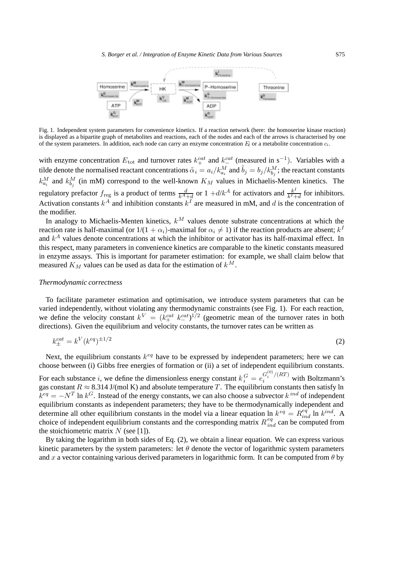

Fig. 1. Independent system parameters for convenience kinetics. If a reaction network (here: the homoserine kinase reaction) is displayed as a bipartite graph of metabolites and reactions, each of the nodes and each of the arrows is characterised by one of the system parameters. In addition, each node can carry an enzyme concentration *E<sup>l</sup>* or a metabolite concentration *ci*.

with enzyme concentration  $E_{\text{tot}}$  and turnover rates  $k_{+}^{cat}$  and  $k_{-}^{cat}$  (measured in s<sup>-1</sup>). Variables with a tild a denote the negative denotes the negative constant expectations  $\tilde{\epsilon}$ tilde denote the normalised reactant concentrations  $\tilde{\alpha}_i=a_i/k_{a_i}^M$  and  $\tilde{b}_j=b_j/k_{b_j}^M;$  the reactant constants  $k_{a_i}^M$  and  $k_{b_j}^M$  (in mM) correspond to the well-known  $K_M$  values in Michaelis-Menten kinetics. The regulatory prefactor  $f_{reg}$  is a product of terms  $\frac{d}{k^A+d}$  or  $1+d/k^A$  for activators and  $\frac{k^I}{k^I+d}$  for inhibitors.<br>Activation constants  $k^A$  and inhibition constants  $k^I$  are measured in mM, and d is the concent the modifier.

In analogy to Michaelis-Menten kinetics,  $k^M$  values denote substrate concentrations at which the reaction rate is half-maximal (or  $1/(1 + \alpha_i)$ -maximal for  $\alpha_i \neq 1$ ) if the reaction products are absent;  $k<sup>I</sup>$ and  $k<sup>A</sup>$  values denote concentrations at which the inhibitor or activator has its half-maximal effect. In this respect, many parameters in convenience kinetics are comparable to the kinetic constants measured in enzyme assays. This is important for parameter estimation: for example, we shall claim below that measured  $K_M$  values can be used as data for the estimation of  $k^M$ .

## *Thermodynamic correctness*

To facilitate parameter estimation and optimisation, we introduce system parameters that can be varied independently, without violating any thermodynamic constraints (see Fig. 1). For each reaction, we define the velocity constant  $k^V = (k_{+}^{cat} k_{-}^{cat})^{1/2}$  (geometric mean of the turnover rates in both directions). Given the equilibrium and velocity constants the turnover rates can be written as directions). Given the equilibrium and velocity constants, the turnover rates can be written as

$$
k_{\pm}^{cat} = k^V (k^{eq})^{\pm 1/2}
$$
 (2)

Next, the equilibrium constants  $k^{eq}$  have to be expressed by independent parameters; here we can choose between (i) Gibbs free energies of formation or (ii) a set of independent equilibrium constants.

For each substance *i*, we define the dimensionless energy constant  $k_i^G = e_i^{G_i^{(0)}/(RT)}$  with Boltzmann's gas constant  $R \approx 8.314$  J/(mol K) and absolute temperature T. The equilibrium constants then satisfy ln  $k^{eq} = -N^T \ln k^G$ . Instead of the energy constants, we can also choose a subvector  $k^{ind}$  of independent equilibrium constants as independent parameters; they have to be thermodynamically independent and determine all other equilibrium constants in the model via a linear equation ln  $k^{eq} = R_{ind}^{eq}$  ln  $k^{ind}$ . A choice of independent equilibrium constants and the corresponding matrix  $R_{ind}^{eq}$  can be computed from the stoichiometric matrix  $N$  (see [1]).

By taking the logarithm in both sides of Eq. (2), we obtain a linear equation. We can express various kinetic parameters by the system parameters: let  $\theta$  denote the vector of logarithmic system parameters and x a vector containing various derived parameters in logarithmic form. It can be computed from  $\theta$  by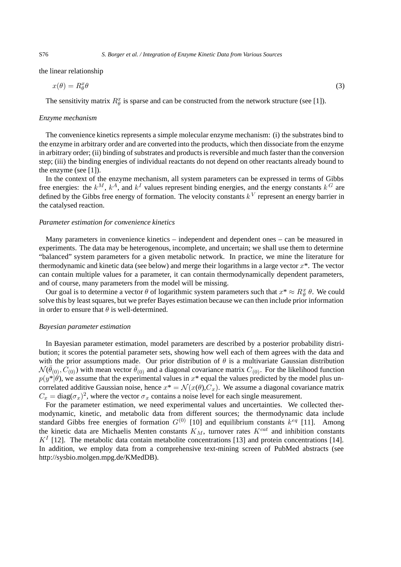the linear relationship

$$
x(\theta) = R_{\theta}^x \theta \tag{3}
$$

The sensitivity matrix  $R_{\theta}^{x}$  is sparse and can be constructed from the network structure (see [1]).

#### *Enzyme mechanism*

The convenience kinetics represents a simple molecular enzyme mechanism: (i) the substrates bind to the enzyme in arbitrary order and are converted into the products, which then dissociate from the enzyme in arbitrary order; (ii) binding of substrates and products is reversible and much faster than the conversion step; (iii) the binding energies of individual reactants do not depend on other reactants already bound to the enzyme (see [1]).

In the context of the enzyme mechanism, all system parameters can be expressed in terms of Gibbs free energies: the  $k^M$ ,  $k^A$ , and  $k^I$  values represent binding energies, and the energy constants  $k^G$  are defined by the Gibbs free energy of formation. The velocity constants  $k<sup>V</sup>$  represent an energy barrier in the catalysed reaction.

#### *Parameter estimation for convenience kinetics*

Many parameters in convenience kinetics – independent and dependent ones – can be measured in experiments. The data may be heterogenous, incomplete, and uncertain; we shall use them to determine "balanced" system parameters for a given metabolic network. In practice, we mine the literature for thermodynamic and kinetic data (see below) and merge their logarithms in a large vector  $x^*$ . The vector can contain multiple values for a parameter, it can contain thermodynamically dependent parameters, and of course, many parameters from the model will be missing.

Our goal is to determine a vector  $\theta$  of logarithmic system parameters such that  $x^* \approx R_\theta^x \theta$ . We could solve this by least squares, but we prefer Bayes estimation because we can then include prior information in order to ensure that  $\theta$  is well-determined.

#### *Bayesian parameter estimation*

In Bayesian parameter estimation, model parameters are described by a posterior probability distribution; it scores the potential parameter sets, showing how well each of them agrees with the data and with the prior assumptions made. Our prior distribution of  $\theta$  is a multivariate Gaussian distribution  $\mathcal{N}(\bar{\theta}_{(0)}, C_{(0)})$  with mean vector  $\bar{\theta}_{(0)}$  and a diagonal covariance matrix  $C_{(0)}$ . For the likelihood function  $p(y^*|\theta)$ , we assume that the experimental values in  $x^*$  equal the values predicted by the model plus uncorrelated additive Gaussian noise, hence  $x^* = \mathcal{N}(x(\theta), C_x)$ . We assume a diagonal covariance matrix  $C_x = \text{diag}(\sigma_x)^2$ , where the vector  $\sigma_x$  contains a noise level for each single measurement.

For the parameter estimation, we need experimental values and uncertainties. We collected thermodynamic, kinetic, and metabolic data from different sources; the thermodynamic data include standard Gibbs free energies of formation  $G^{(0)}$  [10] and equilibrium constants  $k^{eq}$  [11]. Among the kinetic data are Michaelis Menten constants  $K_M$ , turnover rates  $K^{cat}$  and inhibition constants  $K^I$  [12]. The metabolic data contain metabolite concentrations [13] and protein concentrations [14]. In addition, we employ data from a comprehensive text-mining screen of PubMed abstracts (see http://sysbio.molgen.mpg.de/KMedDB).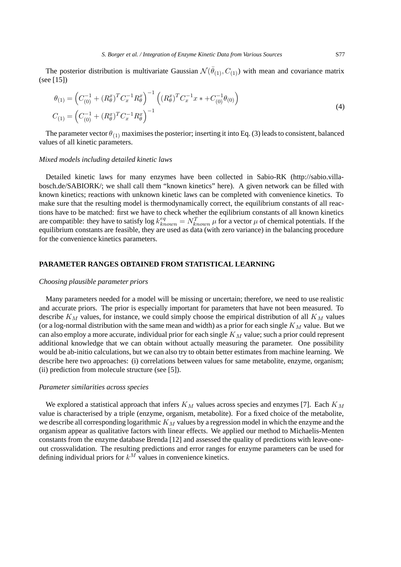The posterior distribution is multivariate Gaussian  $\mathcal{N}(\bar{\theta}_{(1)}, C_{(1)})$  with mean and covariance matrix (see [15])

$$
\theta_{(1)} = \left(C_{(0)}^{-1} + (R_{\theta}^{x})^{T} C_{x}^{-1} R_{\theta}^{x}\right)^{-1} \left((R_{\theta}^{x})^{T} C_{x}^{-1} x + C_{(0)}^{-1} \theta_{(0)}\right)
$$
\n
$$
C_{(1)} = \left(C_{(0)}^{-1} + (R_{\theta}^{x})^{T} C_{x}^{-1} R_{\theta}^{x}\right)^{-1}
$$
\n(4)

The parameter vector  $\theta_{(1)}$  maximises the posterior; inserting it into Eq. (3) leads to consistent, balanced values of all kinetic parameters.

#### *Mixed models including detailed kinetic laws*

Detailed kinetic laws for many enzymes have been collected in Sabio-RK (http://sabio.villabosch.de/SABIORK/; we shall call them "known kinetics" here). A given network can be filled with known kinetics; reactions with unknown kinetic laws can be completed with convenience kinetics. To make sure that the resulting model is thermodynamically correct, the equilibrium constants of all reactions have to be matched: first we have to check whether the eqilibrium constants of all known kinetics are compatible: they have to satisfy  $\log k_{known}^{eq} = N_{known}^T \mu$  for a vector  $\mu$  of chemical potentials. If the equilibrium constants are feasible, they are used as data (with zero variance) in the balancing procedure for the convenience kinetics parameters.

## **PARAMETER RANGES OBTAINED FROM STATISTICAL LEARNING**

#### *Choosing plausible parameter priors*

Many parameters needed for a model will be missing or uncertain; therefore, we need to use realistic and accurate priors. The prior is especially important for parameters that have not been measured. To describe  $K_M$  values, for instance, we could simply choose the empirical distribution of all  $K_M$  values (or a log-normal distribution with the same mean and width) as a prior for each single  $K_M$  value. But we can also employ a more accurate, individual prior for each single  $K_M$  value; such a prior could represent additional knowledge that we can obtain without actually measuring the parameter. One possibility would be ab-initio calculations, but we can also try to obtain better estimates from machine learning. We describe here two approaches: (i) correlations between values for same metabolite, enzyme, organism; (ii) prediction from molecule structure (see [5]).

## *Parameter similarities across species*

We explored a statistical approach that infers  $K_M$  values across species and enzymes [7]. Each  $K_M$ value is characterised by a triple (enzyme, organism, metabolite). For a fixed choice of the metabolite, we describe all corresponding logarithmic  $K_M$  values by a regression model in which the enzyme and the organism appear as qualitative factors with linear effects. We applied our method to Michaelis-Menten constants from the enzyme database Brenda [12] and assessed the quality of predictions with leave-oneout crossvalidation. The resulting predictions and error ranges for enzyme parameters can be used for defining individual priors for  $k^M$  values in convenience kinetics.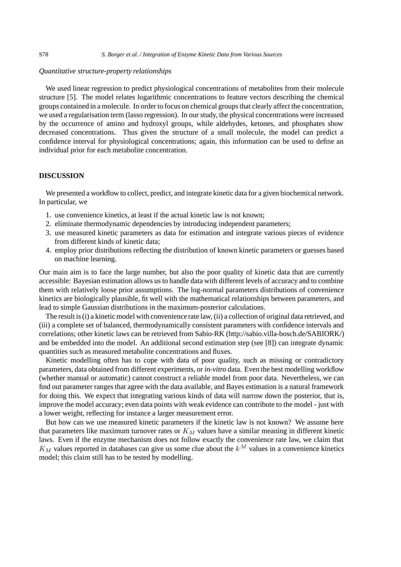## *Quantitative structure-property relationships*

We used linear regression to predict physiological concentrations of metabolites from their molecule structure [5]. The model relates logarithmic concentrations to feature vectors describing the chemical groups contained in a molecule. In order to focus on chemical groups that clearly affect the concentration, we used a regularisation term (lasso regression). In our study, the physical concentrations were increased by the occurrence of amino and hydroxyl groups, while aldehydes, ketones, and phosphates show decreased concentrations. Thus given the structure of a small molecule, the model can predict a confidence interval for physiological concentrations; again, this information can be used to define an individual prior for each metabolite concentration.

## **DISCUSSION**

We presented a workflow to collect, predict, and integrate kinetic data for a given biochemical network. In particular, we

- 1. use convenience kinetics, at least if the actual kinetic law is not known;
- 2. eliminate thermodynamic dependencies by introducing independent parameters;
- 3. use measured kinetic parameters as data for estimation and integrate various pieces of evidence from different kinds of kinetic data;
- 4. employ prior distributions reflecting the distribution of known kinetic parameters or guesses based on machine learning.

Our main aim is to face the large number, but also the poor quality of kinetic data that are currently accessible: Bayesian estimation allows us to handle data with different levels of accuracy and to combine them with relatively loose prior assumptions. The log-normal parameters distributions of convenience kinetics are biologically plausible, fit well with the mathematical relationships between parameters, and lead to simple Gaussian distributions in the maximum-posterior calculations.

The result is (i) a kinetic model with convenience rate law, (ii) a collection of original data retrieved, and (iii) a complete set of balanced, thermodynamically consistent parameters with confidence intervals and correlations; other kinetic laws can be retrieved from Sabio-RK (http://sabio.villa-bosch.de/SABIORK/) and be embedded into the model. An additional second estimation step (see [8]) can integrate dynamic quantities such as measured metabolite concentrations and fluxes.

Kinetic modelling often has to cope with data of poor quality, such as missing or contradictory parameters, data obtained from different experiments, or *in-vitro* data. Even the best modelling workflow (whether manual or automatic) cannot construct a reliable model from poor data. Nevertheless, we can find out parameter ranges that agree with the data available, and Bayes estimation is a natural framework for doing this. We expect that integrating various kinds of data will narrow down the posterior, that is, improve the model accuracy; even data points with weak evidence can contribute to the model - just with a lower weight, reflecting for instance a larger measurement error.

But how can we use measured kinetic parameters if the kinetic law is not known? We assume here that parameters like maximum turnover rates or  $K_M$  values have a similar meaning in different kinetic laws. Even if the enzyme mechanism does not follow exactly the convenience rate law, we claim that  $K_M$  values reported in databases can give us some clue about the  $k^M$  values in a convenience kinetics model; this claim still has to be tested by modelling.